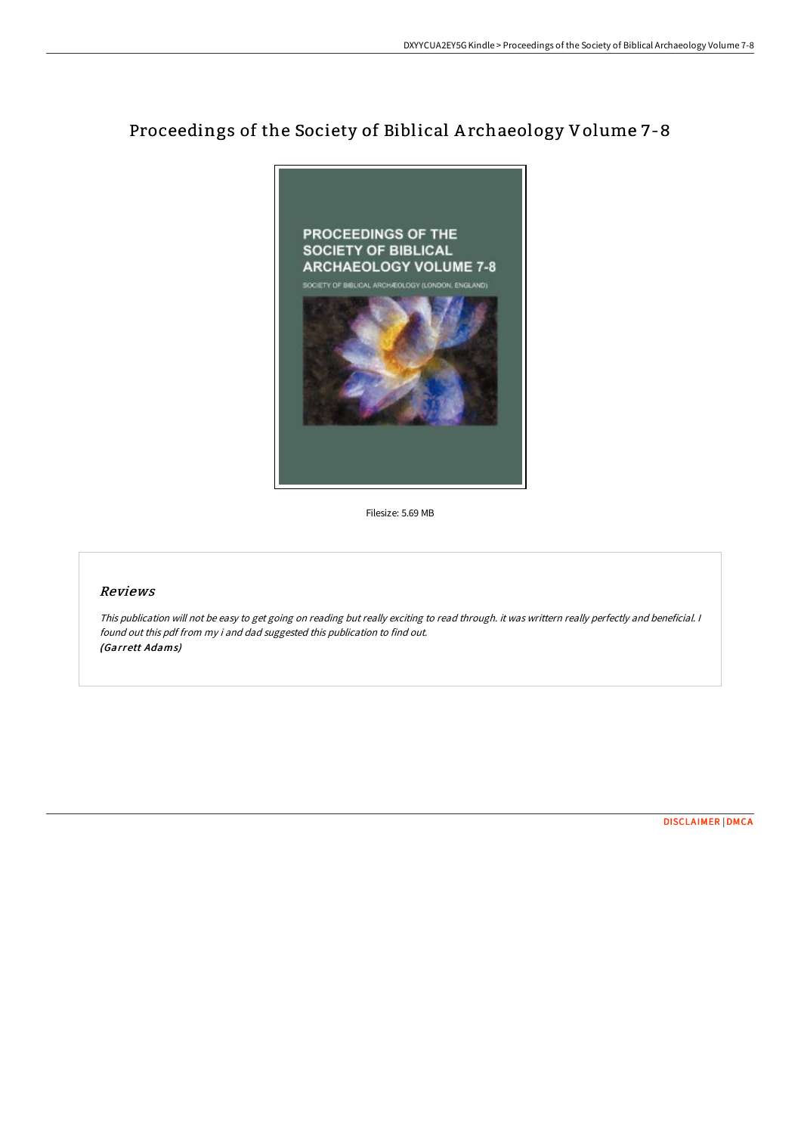# Proceedings of the Society of Biblical A rchaeology Volume 7-8



Filesize: 5.69 MB

## Reviews

This publication will not be easy to get going on reading but really exciting to read through. it was writtern really perfectly and beneficial. <sup>I</sup> found out this pdf from my i and dad suggested this publication to find out. (Garrett Adams)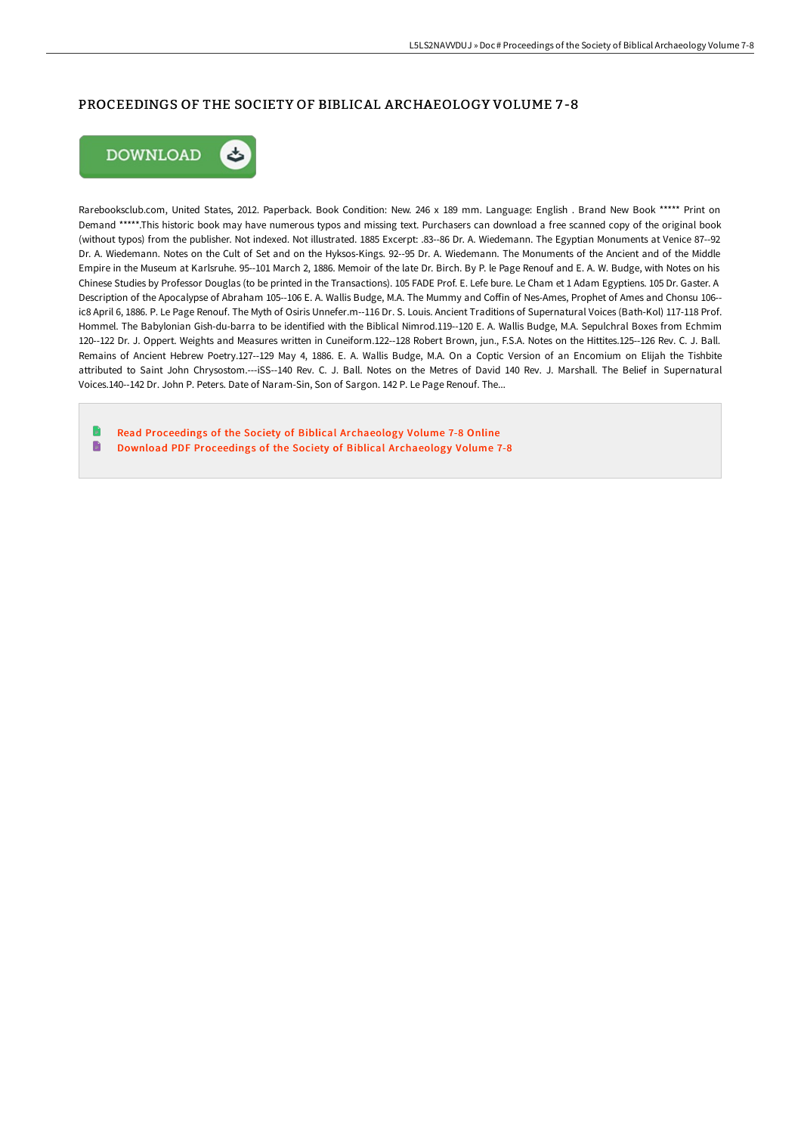## PROCEEDINGS OF THE SOCIETY OF BIBLICAL ARCHAEOLOGY VOLUME 7 -8



Rarebooksclub.com, United States, 2012. Paperback. Book Condition: New. 246 x 189 mm. Language: English . Brand New Book \*\*\*\*\* Print on Demand \*\*\*\*\*.This historic book may have numerous typos and missing text. Purchasers can download a free scanned copy of the original book (without typos) from the publisher. Not indexed. Not illustrated. 1885 Excerpt: .83--86 Dr. A. Wiedemann. The Egyptian Monuments at Venice 87--92 Dr. A. Wiedemann. Notes on the Cult of Set and on the Hyksos-Kings. 92--95 Dr. A. Wiedemann. The Monuments of the Ancient and of the Middle Empire in the Museum at Karlsruhe. 95--101 March 2, 1886. Memoir of the late Dr. Birch. By P. le Page Renouf and E. A. W. Budge, with Notes on his Chinese Studies by Professor Douglas (to be printed in the Transactions). 105 FADE Prof. E. Lefe bure. Le Cham et 1 Adam Egyptiens. 105 Dr. Gaster. A Description of the Apocalypse of Abraham 105--106 E. A. Wallis Budge, M.A. The Mummy and Coffin of Nes-Ames, Prophet of Ames and Chonsu 106-ic8 April 6, 1886. P. Le Page Renouf. The Myth of Osiris Unnefer.m--116 Dr. S. Louis. Ancient Traditions of Supernatural Voices (Bath-Kol) 117-118 Prof. Hommel. The Babylonian Gish-du-barra to be identified with the Biblical Nimrod.119--120 E. A. Wallis Budge, M.A. Sepulchral Boxes from Echmim 120--122 Dr. J. Oppert. Weights and Measures written in Cuneiform.122--128 Robert Brown, jun., F.S.A. Notes on the Hittites.125--126 Rev. C. J. Ball. Remains of Ancient Hebrew Poetry.127--129 May 4, 1886. E. A. Wallis Budge, M.A. On a Coptic Version of an Encomium on Elijah the Tishbite attributed to Saint John Chrysostom.---iSS--140 Rev. C. J. Ball. Notes on the Metres of David 140 Rev. J. Marshall. The Belief in Supernatural Voices.140--142 Dr. John P. Peters. Date of Naram-Sin, Son of Sargon. 142 P. Le Page Renouf. The...

Read [Proceedings](http://techno-pub.tech/proceedings-of-the-society-of-biblical-archaeolo-1.html) of the Society of Biblical Archaeology Volume 7-8 Online  $\blacksquare$ Download PDF [Proceedings](http://techno-pub.tech/proceedings-of-the-society-of-biblical-archaeolo-1.html) of the Society of Biblical Archaeology Volume 7-8